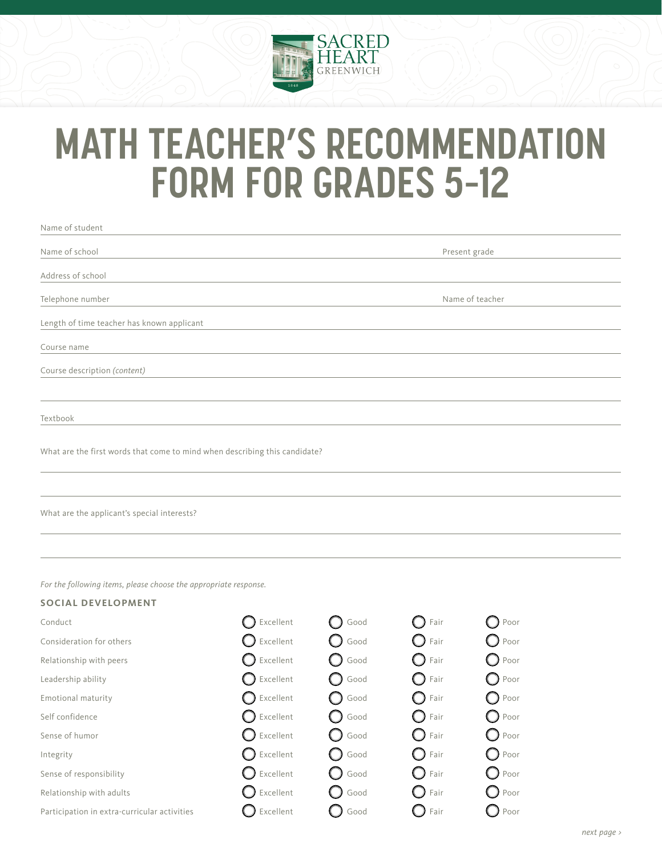

## **MATH TEACHER'S RECOMMENDATION FORM FOR GRADES 5–12**

| Name of student                                                                               |                |                 |                    |                 |  |
|-----------------------------------------------------------------------------------------------|----------------|-----------------|--------------------|-----------------|--|
| Name of school                                                                                |                | Present grade   |                    |                 |  |
| Address of school                                                                             |                |                 |                    |                 |  |
| Telephone number                                                                              |                | Name of teacher |                    |                 |  |
| Length of time teacher has known applicant                                                    |                |                 |                    |                 |  |
| Course name                                                                                   |                |                 |                    |                 |  |
| Course description (content)                                                                  |                |                 |                    |                 |  |
|                                                                                               |                |                 |                    |                 |  |
| Textbook                                                                                      |                |                 |                    |                 |  |
| What are the first words that come to mind when describing this candidate?                    |                |                 |                    |                 |  |
| What are the applicant's special interests?                                                   |                |                 |                    |                 |  |
| For the following items, please choose the appropriate response.<br><b>SOCIAL DEVELOPMENT</b> |                |                 |                    |                 |  |
| Conduct                                                                                       | Excellent      | Good            | Fair               | Poor            |  |
| Consideration for others                                                                      | Excellent      | Good            | Fair               | $\bigcirc$ Poor |  |
| Relationship with peers                                                                       | Excellent      | Good            | Fair               | Poor            |  |
| Leadership ability                                                                            | Excellent      | Good            | Fair               | Poor<br>0       |  |
| Emotional maturity                                                                            | Excellent      | Good            | Fair               | Poor<br>0       |  |
| Self confidence                                                                               | Excellent      | Good            | Fair<br>O          | Poor<br>$\cup$  |  |
| Sense of humor                                                                                | Excellent      | Good            | O<br>Fair          | O<br>Poor       |  |
| Integrity                                                                                     | Excellent      | Good            | ( )<br>Fair        | Poor            |  |
| Sense of responsibility                                                                       | Excellent      | Good            | Fair               | Poor<br>$\Box$  |  |
| Relationship with adults                                                                      | Excellent      | Good            | O<br>Fair          | Poor            |  |
| Participation in extra-curricular activities                                                  | Excellent<br>O | Good            | $\bigcirc$<br>Fair | $\bigcirc$ Poor |  |